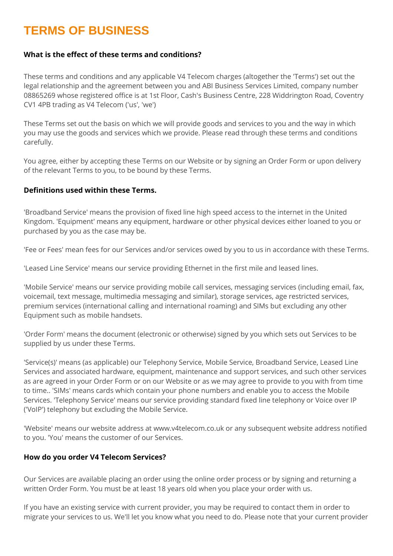# **TERMS OF BUSINESS**

## **What is the effect of these terms and conditions?**

These terms and conditions and any applicable V4 Telecom charges (altogether the 'Terms') set out the legal relationship and the agreement between you and ABI Business Services Limited, company number 08865269 whose registered office is at 1st Floor, Cash's Business Centre, 228 Widdrington Road, Coventry CV1 4PB trading as V4 Telecom ('us', 'we')

These Terms set out the basis on which we will provide goods and services to you and the way in which you may use the goods and services which we provide. Please read through these terms and conditions carefully.

You agree, either by accepting these Terms on our Website or by signing an Order Form or upon delivery of the relevant Terms to you, to be bound by these Terms.

#### **Definitions used within these Terms.**

'Broadband Service' means the provision of fixed line high speed access to the internet in the United Kingdom. 'Equipment' means any equipment, hardware or other physical devices either loaned to you or purchased by you as the case may be.

'Fee or Fees' mean fees for our Services and/or services owed by you to us in accordance with these Terms.

'Leased Line Service' means our service providing Ethernet in the first mile and leased lines.

'Mobile Service' means our service providing mobile call services, messaging services (including email, fax, voicemail, text message, multimedia messaging and similar), storage services, age restricted services, premium services (international calling and international roaming) and SIMs but excluding any other Equipment such as mobile handsets.

'Order Form' means the document (electronic or otherwise) signed by you which sets out Services to be supplied by us under these Terms.

'Service(s)' means (as applicable) our Telephony Service, Mobile Service, Broadband Service, Leased Line Services and associated hardware, equipment, maintenance and support services, and such other services as are agreed in your Order Form or on our Website or as we may agree to provide to you with from time to time.. 'SIMs' means cards which contain your phone numbers and enable you to access the Mobile Services. 'Telephony Service' means our service providing standard fixed line telephony or Voice over IP ('VoIP') telephony but excluding the Mobile Service.

'Website' means our website address at www.v4telecom.co.uk or any subsequent website address notified to you. 'You' means the customer of our Services.

#### **How do you order V4 Telecom Services?**

Our Services are available placing an order using the online order process or by signing and returning a written Order Form. You must be at least 18 years old when you place your order with us.

If you have an existing service with current provider, you may be required to contact them in order to migrate your services to us. We'll let you know what you need to do. Please note that your current provider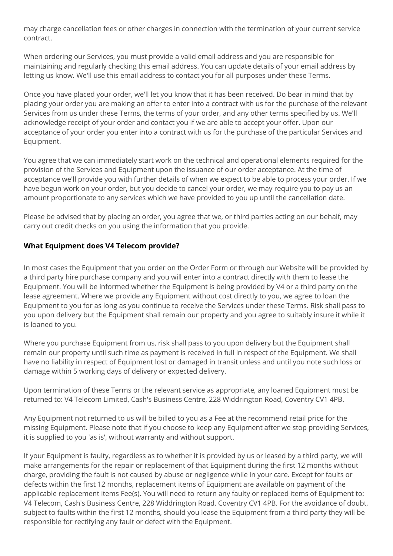may charge cancellation fees or other charges in connection with the termination of your current service contract.

When ordering our Services, you must provide a valid email address and you are responsible for maintaining and regularly checking this email address. You can update details of your email address by letting us know. We'll use this email address to contact you for all purposes under these Terms.

Once you have placed your order, we'll let you know that it has been received. Do bear in mind that by placing your order you are making an offer to enter into a contract with us for the purchase of the relevant Services from us under these Terms, the terms of your order, and any other terms specified by us. We'll acknowledge receipt of your order and contact you if we are able to accept your offer. Upon our acceptance of your order you enter into a contract with us for the purchase of the particular Services and Equipment.

You agree that we can immediately start work on the technical and operational elements required for the provision of the Services and Equipment upon the issuance of our order acceptance. At the time of acceptance we'll provide you with further details of when we expect to be able to process your order. If we have begun work on your order, but you decide to cancel your order, we may require you to pay us an amount proportionate to any services which we have provided to you up until the cancellation date.

Please be advised that by placing an order, you agree that we, or third parties acting on our behalf, may carry out credit checks on you using the information that you provide.

## **What Equipment does V4 Telecom provide?**

In most cases the Equipment that you order on the Order Form or through our Website will be provided by a third party hire purchase company and you will enter into a contract directly with them to lease the Equipment. You will be informed whether the Equipment is being provided by V4 or a third party on the lease agreement. Where we provide any Equipment without cost directly to you, we agree to loan the Equipment to you for as long as you continue to receive the Services under these Terms. Risk shall pass to you upon delivery but the Equipment shall remain our property and you agree to suitably insure it while it is loaned to you.

Where you purchase Equipment from us, risk shall pass to you upon delivery but the Equipment shall remain our property until such time as payment is received in full in respect of the Equipment. We shall have no liability in respect of Equipment lost or damaged in transit unless and until you note such loss or damage within 5 working days of delivery or expected delivery.

Upon termination of these Terms or the relevant service as appropriate, any loaned Equipment must be returned to: V4 Telecom Limited, Cash's Business Centre, 228 Widdrington Road, Coventry CV1 4PB.

Any Equipment not returned to us will be billed to you as a Fee at the recommend retail price for the missing Equipment. Please note that if you choose to keep any Equipment after we stop providing Services, it is supplied to you 'as is', without warranty and without support.

If your Equipment is faulty, regardless as to whether it is provided by us or leased by a third party, we will make arrangements for the repair or replacement of that Equipment during the first 12 months without charge, providing the fault is not caused by abuse or negligence while in your care. Except for faults or defects within the first 12 months, replacement items of Equipment are available on payment of the applicable replacement items Fee(s). You will need to return any faulty or replaced items of Equipment to: V4 Telecom, Cash's Business Centre, 228 Widdrington Road, Coventry CV1 4PB. For the avoidance of doubt, subject to faults within the first 12 months, should you lease the Equipment from a third party they will be responsible for rectifying any fault or defect with the Equipment.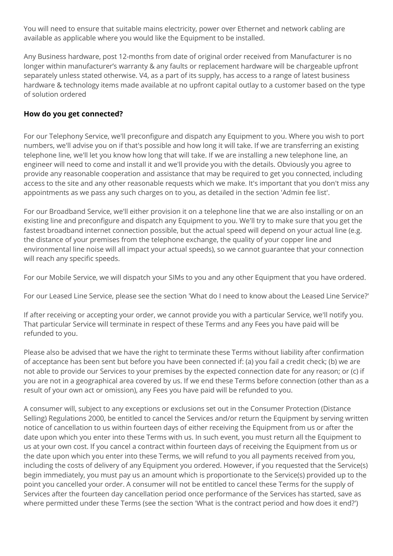You will need to ensure that suitable mains electricity, power over Ethernet and network cabling are available as applicable where you would like the Equipment to be installed.

Any Business hardware, post 12-months from date of original order received from Manufacturer is no longer within manufacturer's warranty & any faults or replacement hardware will be chargeable upfront separately unless stated otherwise. V4, as a part of its supply, has access to a range of latest business hardware & technology items made available at no upfront capital outlay to a customer based on the type of solution ordered

## **How do you get connected?**

For our Telephony Service, we'll preconfigure and dispatch any Equipment to you. Where you wish to port numbers, we'll advise you on if that's possible and how long it will take. If we are transferring an existing telephone line, we'll let you know how long that will take. If we are installing a new telephone line, an engineer will need to come and install it and we'll provide you with the details. Obviously you agree to provide any reasonable cooperation and assistance that may be required to get you connected, including access to the site and any other reasonable requests which we make. It's important that you don't miss any appointments as we pass any such charges on to you, as detailed in the section 'Admin fee list'.

For our Broadband Service, we'll either provision it on a telephone line that we are also installing or on an existing line and preconfigure and dispatch any Equipment to you. We'll try to make sure that you get the fastest broadband internet connection possible, but the actual speed will depend on your actual line (e.g. the distance of your premises from the telephone exchange, the quality of your copper line and environmental line noise will all impact your actual speeds), so we cannot guarantee that your connection will reach any specific speeds.

For our Mobile Service, we will dispatch your SIMs to you and any other Equipment that you have ordered.

For our Leased Line Service, please see the section 'What do I need to know about the Leased Line Service?'

If after receiving or accepting your order, we cannot provide you with a particular Service, we'll notify you. That particular Service will terminate in respect of these Terms and any Fees you have paid will be refunded to you.

Please also be advised that we have the right to terminate these Terms without liability after confirmation of acceptance has been sent but before you have been connected if: (a) you fail a credit check; (b) we are not able to provide our Services to your premises by the expected connection date for any reason; or (c) if you are not in a geographical area covered by us. If we end these Terms before connection (other than as a result of your own act or omission), any Fees you have paid will be refunded to you.

A consumer will, subject to any exceptions or exclusions set out in the Consumer Protection (Distance Selling) Regulations 2000, be entitled to cancel the Services and/or return the Equipment by serving written notice of cancellation to us within fourteen days of either receiving the Equipment from us or after the date upon which you enter into these Terms with us. In such event, you must return all the Equipment to us at your own cost. If you cancel a contract within fourteen days of receiving the Equipment from us or the date upon which you enter into these Terms, we will refund to you all payments received from you, including the costs of delivery of any Equipment you ordered. However, if you requested that the Service(s) begin immediately, you must pay us an amount which is proportionate to the Service(s) provided up to the point you cancelled your order. A consumer will not be entitled to cancel these Terms for the supply of Services after the fourteen day cancellation period once performance of the Services has started, save as where permitted under these Terms (see the section 'What is the contract period and how does it end?')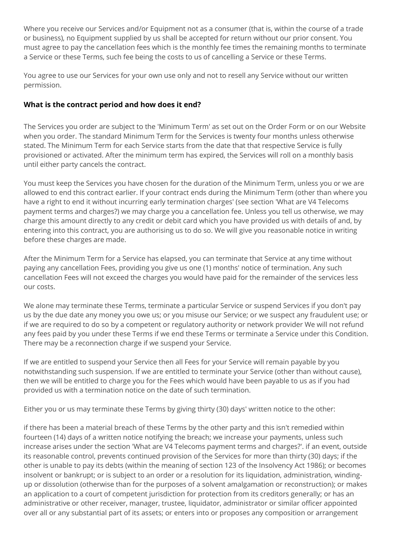Where you receive our Services and/or Equipment not as a consumer (that is, within the course of a trade or business), no Equipment supplied by us shall be accepted for return without our prior consent. You must agree to pay the cancellation fees which is the monthly fee times the remaining months to terminate a Service or these Terms, such fee being the costs to us of cancelling a Service or these Terms.

You agree to use our Services for your own use only and not to resell any Service without our written permission.

## **What is the contract period and how does it end?**

The Services you order are subject to the 'Minimum Term' as set out on the Order Form or on our Website when you order. The standard Minimum Term for the Services is twenty four months unless otherwise stated. The Minimum Term for each Service starts from the date that that respective Service is fully provisioned or activated. After the minimum term has expired, the Services will roll on a monthly basis until either party cancels the contract.

You must keep the Services you have chosen for the duration of the Minimum Term, unless you or we are allowed to end this contract earlier. If your contract ends during the Minimum Term (other than where you have a right to end it without incurring early termination charges' (see section 'What are V4 Telecoms payment terms and charges?) we may charge you a cancellation fee. Unless you tell us otherwise, we may charge this amount directly to any credit or debit card which you have provided us with details of and, by entering into this contract, you are authorising us to do so. We will give you reasonable notice in writing before these charges are made.

After the Minimum Term for a Service has elapsed, you can terminate that Service at any time without paying any cancellation Fees, providing you give us one (1) months' notice of termination. Any such cancellation Fees will not exceed the charges you would have paid for the remainder of the services less our costs.

We alone may terminate these Terms, terminate a particular Service or suspend Services if you don't pay us by the due date any money you owe us; or you misuse our Service; or we suspect any fraudulent use; or if we are required to do so by a competent or regulatory authority or network provider We will not refund any fees paid by you under these Terms if we end these Terms or terminate a Service under this Condition. There may be a reconnection charge if we suspend your Service.

If we are entitled to suspend your Service then all Fees for your Service will remain payable by you notwithstanding such suspension. If we are entitled to terminate your Service (other than without cause), then we will be entitled to charge you for the Fees which would have been payable to us as if you had provided us with a termination notice on the date of such termination.

Either you or us may terminate these Terms by giving thirty (30) days' written notice to the other:

if there has been a material breach of these Terms by the other party and this isn't remedied within fourteen (14) days of a written notice notifying the breach; we increase your payments, unless such increase arises under the section 'What are V4 Telecoms payment terms and charges?'. if an event, outside its reasonable control, prevents continued provision of the Services for more than thirty (30) days; if the other is unable to pay its debts (within the meaning of section 123 of the Insolvency Act 1986); or becomes insolvent or bankrupt; or is subject to an order or a resolution for its liquidation, administration, windingup or dissolution (otherwise than for the purposes of a solvent amalgamation or reconstruction); or makes an application to a court of competent jurisdiction for protection from its creditors generally; or has an administrative or other receiver, manager, trustee, liquidator, administrator or similar officer appointed over all or any substantial part of its assets; or enters into or proposes any composition or arrangement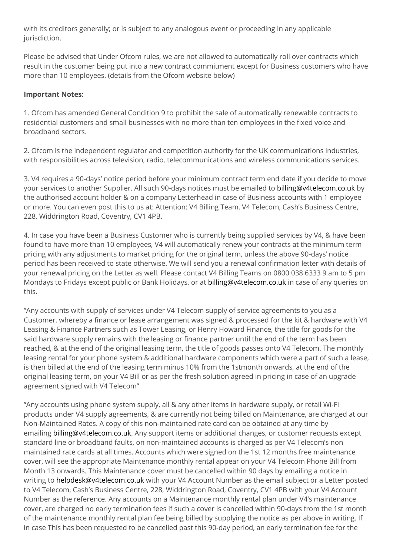with its creditors generally; or is subject to any analogous event or proceeding in any applicable jurisdiction.

Please be advised that Under Ofcom rules, we are not allowed to automatically roll over contracts which result in the customer being put into a new contract commitment except for Business customers who have more than 10 employees. (details from the Ofcom website below)

#### **Important Notes:**

1. Ofcom has amended General Condition 9 to prohibit the sale of automatically renewable contracts to residential customers and small businesses with no more than ten employees in the fixed voice and broadband sectors.

2. Ofcom is the independent regulator and competition authority for the UK communications industries, with responsibilities across television, radio, telecommunications and wireless communications services.

3. V4 requires a 90-days' notice period before your minimum contract term end date if you decide to move your services to another Supplier. All such 90-days notices must be emailed to [billing@v4telecom.co.uk](mailto:billing@v4telecom.co.uk) by the authorised account holder & on a company Letterhead in case of Business accounts with 1 employee or more. You can even post this to us at: Attention: V4 Billing Team, V4 Telecom, Cash's Business Centre, 228, Widdrington Road, Coventry, CV1 4PB.

4. In case you have been a Business Customer who is currently being supplied services by V4, & have been found to have more than 10 employees, V4 will automatically renew your contracts at the minimum term pricing with any adjustments to market pricing for the original term, unless the above 90-days' notice period has been received to state otherwise. We will send you a renewal confirmation letter with details of your renewal pricing on the Letter as well. Please contact V4 Billing Teams on 0800 038 6333 9 am to 5 pm Mondays to Fridays except public or Bank Holidays, or at [billing@v4telecom.co.uk](mailto:billing@v4telecom.co.uk) in case of any queries on this.

"Any accounts with supply of services under V4 Telecom supply of service agreements to you as a Customer, whereby a finance or lease arrangement was signed & processed for the kit & hardware with V4 Leasing & Finance Partners such as Tower Leasing, or Henry Howard Finance, the title for goods for the said hardware supply remains with the leasing or finance partner until the end of the term has been reached, & at the end of the original leasing term, the title of goods passes onto V4 Telecom. The monthly leasing rental for your phone system & additional hardware components which were a part of such a lease, is then billed at the end of the leasing term minus 10% from the 1stmonth onwards, at the end of the original leasing term, on your V4 Bill or as per the fresh solution agreed in pricing in case of an upgrade agreement signed with V4 Telecom"

"Any accounts using phone system supply, all & any other items in hardware supply, or retail Wi-Fi products under V4 supply agreements, & are currently not being billed on Maintenance, are charged at our Non-Maintained Rates. A copy of this non-maintained rate card can be obtained at any time by emailing [billing@v4telecom.co.uk.](mailto:billing@v4telecom.co.uk) Any support items or additional changes, or customer requests except standard line or broadband faults, on non-maintained accounts is charged as per V4 Telecom's non maintained rate cards at all times. Accounts which were signed on the 1st 12 months free maintenance cover, will see the appropriate Maintenance monthly rental appear on your V4 Telecom Phone Bill from Month 13 onwards. This Maintenance cover must be cancelled within 90 days by emailing a notice in writing to [helpdesk@v4telecom.co.uk](mailto:helpdesk@v4telecom.co.uk) with your V4 Account Number as the email subject or a Letter posted to V4 Telecom, Cash's Business Centre, 228, Widdrington Road, Coventry, CV1 4PB with your V4 Account Number as the reference. Any accounts on a Maintenance monthly rental plan under V4's maintenance cover, are charged no early termination fees if such a cover is cancelled within 90-days from the 1st month of the maintenance monthly rental plan fee being billed by supplying the notice as per above in writing. If in case This has been requested to be cancelled past this 90-day period, an early termination fee for the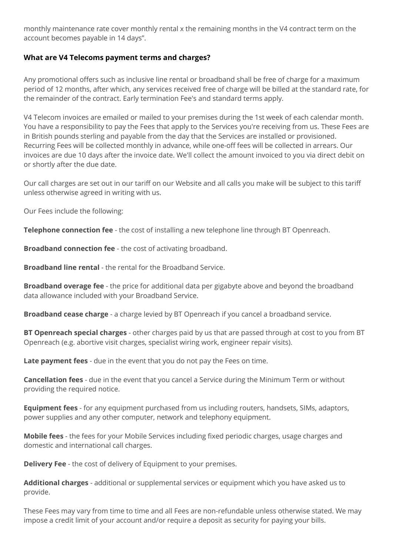monthly maintenance rate cover monthly rental x the remaining months in the V4 contract term on the account becomes payable in 14 days".

## **What are V4 Telecoms payment terms and charges?**

Any promotional offers such as inclusive line rental or broadband shall be free of charge for a maximum period of 12 months, after which, any services received free of charge will be billed at the standard rate, for the remainder of the contract. Early termination Fee's and standard terms apply.

V4 Telecom invoices are emailed or mailed to your premises during the 1st week of each calendar month. You have a responsibility to pay the Fees that apply to the Services you're receiving from us. These Fees are in British pounds sterling and payable from the day that the Services are installed or provisioned. Recurring Fees will be collected monthly in advance, while one-off fees will be collected in arrears. Our invoices are due 10 days after the invoice date. We'll collect the amount invoiced to you via direct debit on or shortly after the due date.

Our call charges are set out in our tariff on our Website and all calls you make will be subject to this tariff unless otherwise agreed in writing with us.

Our Fees include the following:

**Telephone connection fee** - the cost of installing a new telephone line through BT Openreach.

**Broadband connection fee** - the cost of activating broadband.

**Broadband line rental** - the rental for the Broadband Service.

**Broadband overage fee** - the price for additional data per gigabyte above and beyond the broadband data allowance included with your Broadband Service.

**Broadband cease charge** - a charge levied by BT Openreach if you cancel a broadband service.

**BT Openreach special charges** - other charges paid by us that are passed through at cost to you from BT Openreach (e.g. abortive visit charges, specialist wiring work, engineer repair visits).

**Late payment fees** - due in the event that you do not pay the Fees on time.

**Cancellation fees** - due in the event that you cancel a Service during the Minimum Term or without providing the required notice.

**Equipment fees** - for any equipment purchased from us including routers, handsets, SIMs, adaptors, power supplies and any other computer, network and telephony equipment.

**Mobile fees** - the fees for your Mobile Services including fixed periodic charges, usage charges and domestic and international call charges.

**Delivery Fee** - the cost of delivery of Equipment to your premises.

**Additional charges** - additional or supplemental services or equipment which you have asked us to provide.

These Fees may vary from time to time and all Fees are non-refundable unless otherwise stated. We may impose a credit limit of your account and/or require a deposit as security for paying your bills.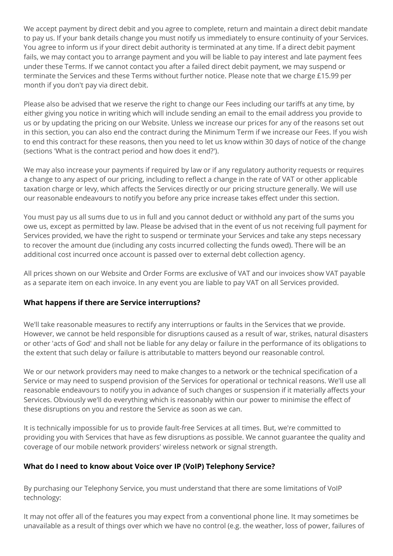We accept payment by direct debit and you agree to complete, return and maintain a direct debit mandate to pay us. If your bank details change you must notify us immediately to ensure continuity of your Services. You agree to inform us if your direct debit authority is terminated at any time. If a direct debit payment fails, we may contact you to arrange payment and you will be liable to pay interest and late payment fees under these Terms. If we cannot contact you after a failed direct debit payment, we may suspend or terminate the Services and these Terms without further notice. Please note that we charge £15.99 per month if you don't pay via direct debit.

Please also be advised that we reserve the right to change our Fees including our tariffs at any time, by either giving you notice in writing which will include sending an email to the email address you provide to us or by updating the pricing on our Website. Unless we increase our prices for any of the reasons set out in this section, you can also end the contract during the Minimum Term if we increase our Fees. If you wish to end this contract for these reasons, then you need to let us know within 30 days of notice of the change (sections 'What is the contract period and how does it end?').

We may also increase your payments if required by law or if any regulatory authority requests or requires a change to any aspect of our pricing, including to reflect a change in the rate of VAT or other applicable taxation charge or levy, which affects the Services directly or our pricing structure generally. We will use our reasonable endeavours to notify you before any price increase takes effect under this section.

You must pay us all sums due to us in full and you cannot deduct or withhold any part of the sums you owe us, except as permitted by law. Please be advised that in the event of us not receiving full payment for Services provided, we have the right to suspend or terminate your Services and take any steps necessary to recover the amount due (including any costs incurred collecting the funds owed). There will be an additional cost incurred once account is passed over to external debt collection agency.

All prices shown on our Website and Order Forms are exclusive of VAT and our invoices show VAT payable as a separate item on each invoice. In any event you are liable to pay VAT on all Services provided.

## **What happens if there are Service interruptions?**

We'll take reasonable measures to rectify any interruptions or faults in the Services that we provide. However, we cannot be held responsible for disruptions caused as a result of war, strikes, natural disasters or other 'acts of God' and shall not be liable for any delay or failure in the performance of its obligations to the extent that such delay or failure is attributable to matters beyond our reasonable control.

We or our network providers may need to make changes to a network or the technical specification of a Service or may need to suspend provision of the Services for operational or technical reasons. We'll use all reasonable endeavours to notify you in advance of such changes or suspension if it materially affects your Services. Obviously we'll do everything which is reasonably within our power to minimise the effect of these disruptions on you and restore the Service as soon as we can.

It is technically impossible for us to provide fault-free Services at all times. But, we're committed to providing you with Services that have as few disruptions as possible. We cannot guarantee the quality and coverage of our mobile network providers' wireless network or signal strength.

## **What do I need to know about Voice over IP (VoIP) Telephony Service?**

By purchasing our Telephony Service, you must understand that there are some limitations of VoIP technology:

It may not offer all of the features you may expect from a conventional phone line. It may sometimes be unavailable as a result of things over which we have no control (e.g. the weather, loss of power, failures of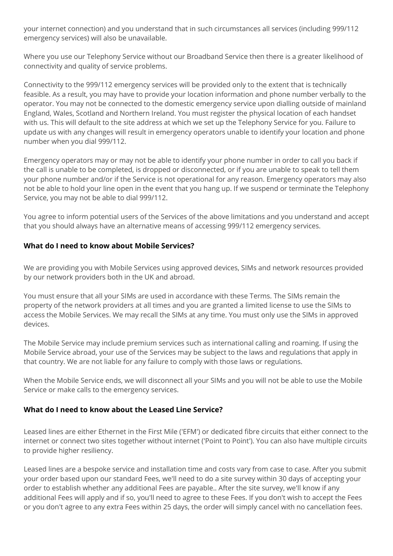your internet connection) and you understand that in such circumstances all services (including 999/112 emergency services) will also be unavailable.

Where you use our Telephony Service without our Broadband Service then there is a greater likelihood of connectivity and quality of service problems.

Connectivity to the 999/112 emergency services will be provided only to the extent that is technically feasible. As a result, you may have to provide your location information and phone number verbally to the operator. You may not be connected to the domestic emergency service upon dialling outside of mainland England, Wales, Scotland and Northern Ireland. You must register the physical location of each handset with us. This will default to the site address at which we set up the Telephony Service for you. Failure to update us with any changes will result in emergency operators unable to identify your location and phone number when you dial 999/112.

Emergency operators may or may not be able to identify your phone number in order to call you back if the call is unable to be completed, is dropped or disconnected, or if you are unable to speak to tell them your phone number and/or if the Service is not operational for any reason. Emergency operators may also not be able to hold your line open in the event that you hang up. If we suspend or terminate the Telephony Service, you may not be able to dial 999/112.

You agree to inform potential users of the Services of the above limitations and you understand and accept that you should always have an alternative means of accessing 999/112 emergency services.

## **What do I need to know about Mobile Services?**

We are providing you with Mobile Services using approved devices, SIMs and network resources provided by our network providers both in the UK and abroad.

You must ensure that all your SIMs are used in accordance with these Terms. The SIMs remain the property of the network providers at all times and you are granted a limited license to use the SIMs to access the Mobile Services. We may recall the SIMs at any time. You must only use the SIMs in approved devices.

The Mobile Service may include premium services such as international calling and roaming. If using the Mobile Service abroad, your use of the Services may be subject to the laws and regulations that apply in that country. We are not liable for any failure to comply with those laws or regulations.

When the Mobile Service ends, we will disconnect all your SIMs and you will not be able to use the Mobile Service or make calls to the emergency services.

## **What do I need to know about the Leased Line Service?**

Leased lines are either Ethernet in the First Mile ('EFM') or dedicated fibre circuits that either connect to the internet or connect two sites together without internet ('Point to Point'). You can also have multiple circuits to provide higher resiliency.

Leased lines are a bespoke service and installation time and costs vary from case to case. After you submit your order based upon our standard Fees, we'll need to do a site survey within 30 days of accepting your order to establish whether any additional Fees are payable.. After the site survey, we'll know if any additional Fees will apply and if so, you'll need to agree to these Fees. If you don't wish to accept the Fees or you don't agree to any extra Fees within 25 days, the order will simply cancel with no cancellation fees.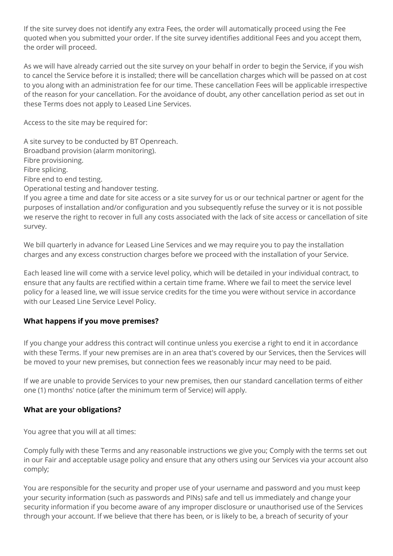If the site survey does not identify any extra Fees, the order will automatically proceed using the Fee quoted when you submitted your order. If the site survey identifies additional Fees and you accept them, the order will proceed.

As we will have already carried out the site survey on your behalf in order to begin the Service, if you wish to cancel the Service before it is installed; there will be cancellation charges which will be passed on at cost to you along with an administration fee for our time. These cancellation Fees will be applicable irrespective of the reason for your cancellation. For the avoidance of doubt, any other cancellation period as set out in these Terms does not apply to Leased Line Services.

Access to the site may be required for:

A site survey to be conducted by BT Openreach. Broadband provision (alarm monitoring). Fibre provisioning. Fibre splicing. Fibre end to end testing. Operational testing and handover testing.

If you agree a time and date for site access or a site survey for us or our technical partner or agent for the purposes of installation and/or configuration and you subsequently refuse the survey or it is not possible we reserve the right to recover in full any costs associated with the lack of site access or cancellation of site survey.

We bill quarterly in advance for Leased Line Services and we may require you to pay the installation charges and any excess construction charges before we proceed with the installation of your Service.

Each leased line will come with a service level policy, which will be detailed in your individual contract, to ensure that any faults are rectified within a certain time frame. Where we fail to meet the service level policy for a leased line, we will issue service credits for the time you were without service in accordance with our Leased Line Service Level Policy.

## **What happens if you move premises?**

If you change your address this contract will continue unless you exercise a right to end it in accordance with these Terms. If your new premises are in an area that's covered by our Services, then the Services will be moved to your new premises, but connection fees we reasonably incur may need to be paid.

If we are unable to provide Services to your new premises, then our standard cancellation terms of either one (1) months' notice (after the minimum term of Service) will apply.

## **What are your obligations?**

You agree that you will at all times:

Comply fully with these Terms and any reasonable instructions we give you; Comply with the terms set out in our Fair and acceptable usage policy and ensure that any others using our Services via your account also comply;

You are responsible for the security and proper use of your username and password and you must keep your security information (such as passwords and PINs) safe and tell us immediately and change your security information if you become aware of any improper disclosure or unauthorised use of the Services through your account. If we believe that there has been, or is likely to be, a breach of security of your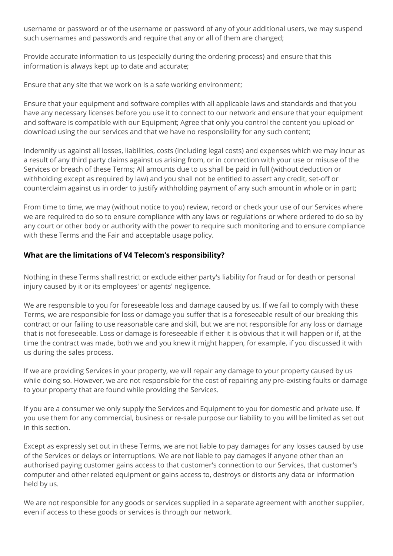username or password or of the username or password of any of your additional users, we may suspend such usernames and passwords and require that any or all of them are changed;

Provide accurate information to us (especially during the ordering process) and ensure that this information is always kept up to date and accurate;

Ensure that any site that we work on is a safe working environment;

Ensure that your equipment and software complies with all applicable laws and standards and that you have any necessary licenses before you use it to connect to our network and ensure that your equipment and software is compatible with our Equipment; Agree that only you control the content you upload or download using the our services and that we have no responsibility for any such content;

Indemnify us against all losses, liabilities, costs (including legal costs) and expenses which we may incur as a result of any third party claims against us arising from, or in connection with your use or misuse of the Services or breach of these Terms; All amounts due to us shall be paid in full (without deduction or withholding except as required by law) and you shall not be entitled to assert any credit, set-off or counterclaim against us in order to justify withholding payment of any such amount in whole or in part;

From time to time, we may (without notice to you) review, record or check your use of our Services where we are required to do so to ensure compliance with any laws or regulations or where ordered to do so by any court or other body or authority with the power to require such monitoring and to ensure compliance with these Terms and the Fair and acceptable usage policy.

## **What are the limitations of V4 Telecom's responsibility?**

Nothing in these Terms shall restrict or exclude either party's liability for fraud or for death or personal injury caused by it or its employees' or agents' negligence.

We are responsible to you for foreseeable loss and damage caused by us. If we fail to comply with these Terms, we are responsible for loss or damage you suffer that is a foreseeable result of our breaking this contract or our failing to use reasonable care and skill, but we are not responsible for any loss or damage that is not foreseeable. Loss or damage is foreseeable if either it is obvious that it will happen or if, at the time the contract was made, both we and you knew it might happen, for example, if you discussed it with us during the sales process.

If we are providing Services in your property, we will repair any damage to your property caused by us while doing so. However, we are not responsible for the cost of repairing any pre-existing faults or damage to your property that are found while providing the Services.

If you are a consumer we only supply the Services and Equipment to you for domestic and private use. If you use them for any commercial, business or re-sale purpose our liability to you will be limited as set out in this section.

Except as expressly set out in these Terms, we are not liable to pay damages for any losses caused by use of the Services or delays or interruptions. We are not liable to pay damages if anyone other than an authorised paying customer gains access to that customer's connection to our Services, that customer's computer and other related equipment or gains access to, destroys or distorts any data or information held by us.

We are not responsible for any goods or services supplied in a separate agreement with another supplier, even if access to these goods or services is through our network.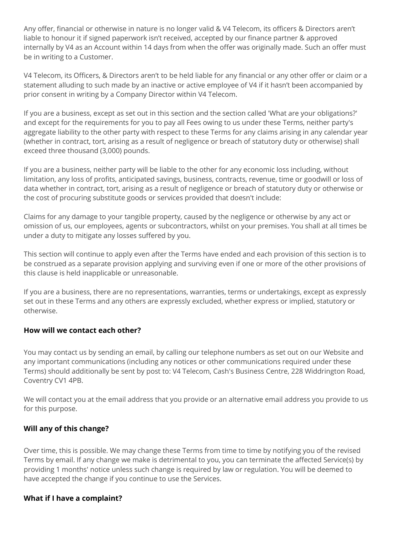Any offer, financial or otherwise in nature is no longer valid & V4 Telecom, its officers & Directors aren't liable to honour it if signed paperwork isn't received, accepted by our finance partner & approved internally by V4 as an Account within 14 days from when the offer was originally made. Such an offer must be in writing to a Customer.

V4 Telecom, its Officers, & Directors aren't to be held liable for any financial or any other offer or claim or a statement alluding to such made by an inactive or active employee of V4 if it hasn't been accompanied by prior consent in writing by a Company Director within V4 Telecom.

If you are a business, except as set out in this section and the section called 'What are your obligations?' and except for the requirements for you to pay all Fees owing to us under these Terms, neither party's aggregate liability to the other party with respect to these Terms for any claims arising in any calendar year (whether in contract, tort, arising as a result of negligence or breach of statutory duty or otherwise) shall exceed three thousand (3,000) pounds.

If you are a business, neither party will be liable to the other for any economic loss including, without limitation, any loss of profits, anticipated savings, business, contracts, revenue, time or goodwill or loss of data whether in contract, tort, arising as a result of negligence or breach of statutory duty or otherwise or the cost of procuring substitute goods or services provided that doesn't include:

Claims for any damage to your tangible property, caused by the negligence or otherwise by any act or omission of us, our employees, agents or subcontractors, whilst on your premises. You shall at all times be under a duty to mitigate any losses suffered by you.

This section will continue to apply even after the Terms have ended and each provision of this section is to be construed as a separate provision applying and surviving even if one or more of the other provisions of this clause is held inapplicable or unreasonable.

If you are a business, there are no representations, warranties, terms or undertakings, except as expressly set out in these Terms and any others are expressly excluded, whether express or implied, statutory or otherwise.

## **How will we contact each other?**

You may contact us by sending an email, by calling our telephone numbers as set out on our Website and any important communications (including any notices or other communications required under these Terms) should additionally be sent by post to: V4 Telecom, Cash's Business Centre, 228 Widdrington Road, Coventry CV1 4PB.

We will contact you at the email address that you provide or an alternative email address you provide to us for this purpose.

## **Will any of this change?**

Over time, this is possible. We may change these Terms from time to time by notifying you of the revised Terms by email. If any change we make is detrimental to you, you can terminate the affected Service(s) by providing 1 months' notice unless such change is required by law or regulation. You will be deemed to have accepted the change if you continue to use the Services.

## **What if I have a complaint?**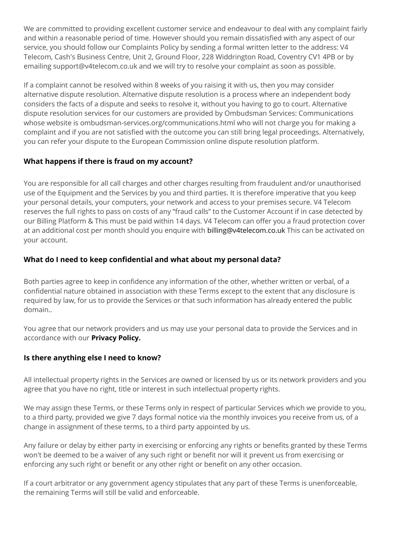We are committed to providing excellent customer service and endeavour to deal with any complaint fairly and within a reasonable period of time. However should you remain dissatisfied with any aspect of our service, you should follow our Complaints Policy by sending a formal written letter to the address: V4 Telecom, Cash's Business Centre, Unit 2, Ground Floor, 228 Widdrington Road, Coventry CV1 4PB or by emailing support@v4telecom.co.uk and we will try to resolve your complaint as soon as possible.

If a complaint cannot be resolved within 8 weeks of you raising it with us, then you may consider alternative dispute resolution. Alternative dispute resolution is a process where an independent body considers the facts of a dispute and seeks to resolve it, without you having to go to court. Alternative dispute resolution services for our customers are provided by Ombudsman Services: Communications whose website is ombudsman-services.org/communications.html who will not charge you for making a complaint and if you are not satisfied with the outcome you can still bring legal proceedings. Alternatively, you can refer your dispute to the European Commission online dispute resolution platform.

## **What happens if there is fraud on my account?**

You are responsible for all call charges and other charges resulting from fraudulent and/or unauthorised use of the Equipment and the Services by you and third parties. It is therefore imperative that you keep your personal details, your computers, your network and access to your premises secure. V4 Telecom reserves the full rights to pass on costs of any "fraud calls" to the Customer Account if in case detected by our Billing Platform & This must be paid within 14 days. V4 Telecom can offer you a fraud protection cover at an additional cost per month should you enquire with [billing@v4telecom.co.uk](mailto:billing@v4telecom.co.uk) This can be activated on your account.

## **What do I need to keep confidential and what about my personal data?**

Both parties agree to keep in confidence any information of the other, whether written or verbal, of a confidential nature obtained in association with these Terms except to the extent that any disclosure is required by law, for us to provide the Services or that such information has already entered the public domain..

You agree that our network providers and us may use your personal data to provide the Services and in accordance with our **[Privacy Policy.](https://www.v4telecom.co.uk/privacy-policy)**

## **Is there anything else I need to know?**

All intellectual property rights in the Services are owned or licensed by us or its network providers and you agree that you have no right, title or interest in such intellectual property rights.

We may assign these Terms, or these Terms only in respect of particular Services which we provide to you, to a third party, provided we give 7 days formal notice via the monthly invoices you receive from us, of a change in assignment of these terms, to a third party appointed by us.

Any failure or delay by either party in exercising or enforcing any rights or benefits granted by these Terms won't be deemed to be a waiver of any such right or benefit nor will it prevent us from exercising or enforcing any such right or benefit or any other right or benefit on any other occasion.

If a court arbitrator or any government agency stipulates that any part of these Terms is unenforceable, the remaining Terms will still be valid and enforceable.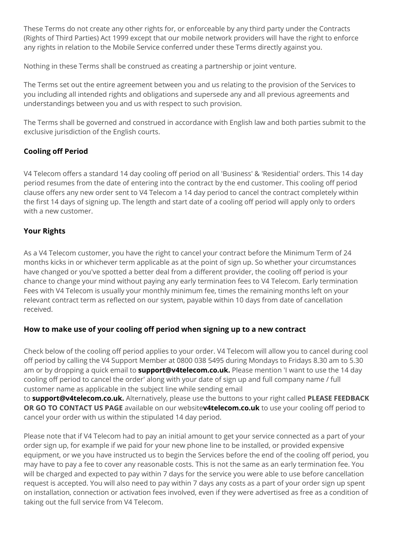These Terms do not create any other rights for, or enforceable by any third party under the Contracts (Rights of Third Parties) Act 1999 except that our mobile network providers will have the right to enforce any rights in relation to the Mobile Service conferred under these Terms directly against you.

Nothing in these Terms shall be construed as creating a partnership or joint venture.

The Terms set out the entire agreement between you and us relating to the provision of the Services to you including all intended rights and obligations and supersede any and all previous agreements and understandings between you and us with respect to such provision.

The Terms shall be governed and construed in accordance with English law and both parties submit to the exclusive jurisdiction of the English courts.

# **Cooling off Period**

V4 Telecom offers a standard 14 day cooling off period on all 'Business' & 'Residential' orders. This 14 day period resumes from the date of entering into the contract by the end customer. This cooling off period clause offers any new order sent to V4 Telecom a 14 day period to cancel the contract completely within the first 14 days of signing up. The length and start date of a cooling off period will apply only to orders with a new customer.

# **Your Rights**

As a V4 Telecom customer, you have the right to cancel your contract before the Minimum Term of 24 months kicks in or whichever term applicable as at the point of sign up. So whether your circumstances have changed or you've spotted a better deal from a different provider, the cooling off period is your chance to change your mind without paying any early termination fees to V4 Telecom. Early termination Fees with V4 Telecom is usually your monthly minimum fee, times the remaining months left on your relevant contract term as reflected on our system, payable within 10 days from date of cancellation received.

## **How to make use of your cooling off period when signing up to a new contract**

Check below of the cooling off period applies to your order. V4 Telecom will allow you to cancel during cool off period by calling the V4 Support Member at 0800 038 5495 during Mondays to Fridays 8.30 am to 5.30 am or by dropping a quick email to **[support@v4telecom.co.uk.](mailto:support@v4telecom.co.uk)** Please mention 'I want to use the 14 day cooling off period to cancel the order' along with your date of sign up and full company name / full customer name as applicable in the subject line while sending email

to **[support@v4telecom.co.uk.](mailto:support@v4telecom.co.uk)** Alternatively, please use the buttons to your right called **PLEASE FEEDBACK OR GO TO CONTACT US PAGE** available on our website**[v4telecom.co.uk](https://v4telecom.co.uk/)** to use your cooling off period to cancel your order with us within the stipulated 14 day period.

Please note that if V4 Telecom had to pay an initial amount to get your service connected as a part of your order sign up, for example if we paid for your new phone line to be installed, or provided expensive equipment, or we you have instructed us to begin the Services before the end of the cooling off period, you may have to pay a fee to cover any reasonable costs. This is not the same as an early termination fee. You will be charged and expected to pay within 7 days for the service you were able to use before cancellation request is accepted. You will also need to pay within 7 days any costs as a part of your order sign up spent on installation, connection or activation fees involved, even if they were advertised as free as a condition of taking out the full service from V4 Telecom.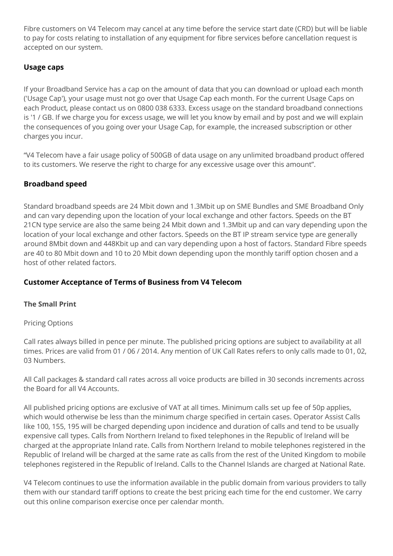Fibre customers on V4 Telecom may cancel at any time before the service start date (CRD) but will be liable to pay for costs relating to installation of any equipment for fibre services before cancellation request is accepted on our system.

## **Usage caps**

If your Broadband Service has a cap on the amount of data that you can download or upload each month ('Usage Cap'), your usage must not go over that Usage Cap each month. For the current Usage Caps on each Product, please contact us on 0800 038 6333. Excess usage on the standard broadband connections is '1 / GB. If we charge you for excess usage, we will let you know by email and by post and we will explain the consequences of you going over your Usage Cap, for example, the increased subscription or other charges you incur.

"V4 Telecom have a fair usage policy of 500GB of data usage on any unlimited broadband product offered to its customers. We reserve the right to charge for any excessive usage over this amount".

# **Broadband speed**

Standard broadband speeds are 24 Mbit down and 1.3Mbit up on SME Bundles and SME Broadband Only and can vary depending upon the location of your local exchange and other factors. Speeds on the BT 21CN type service are also the same being 24 Mbit down and 1.3Mbit up and can vary depending upon the location of your local exchange and other factors. Speeds on the BT IP stream service type are generally around 8Mbit down and 448Kbit up and can vary depending upon a host of factors. Standard Fibre speeds are 40 to 80 Mbit down and 10 to 20 Mbit down depending upon the monthly tariff option chosen and a host of other related factors.

## **Customer Acceptance of Terms of Business from V4 Telecom**

## **The Small Print**

## Pricing Options

Call rates always billed in pence per minute. The published pricing options are subject to availability at all times. Prices are valid from 01 / 06 / 2014. Any mention of UK Call Rates refers to only calls made to 01, 02, 03 Numbers.

All Call packages & standard call rates across all voice products are billed in 30 seconds increments across the Board for all V4 Accounts.

All published pricing options are exclusive of VAT at all times. Minimum calls set up fee of 50p applies, which would otherwise be less than the minimum charge specified in certain cases. Operator Assist Calls like 100, 155, 195 will be charged depending upon incidence and duration of calls and tend to be usually expensive call types. Calls from Northern Ireland to fixed telephones in the Republic of Ireland will be charged at the appropriate Inland rate. Calls from Northern Ireland to mobile telephones registered in the Republic of Ireland will be charged at the same rate as calls from the rest of the United Kingdom to mobile telephones registered in the Republic of Ireland. Calls to the Channel Islands are charged at National Rate.

V4 Telecom continues to use the information available in the public domain from various providers to tally them with our standard tariff options to create the best pricing each time for the end customer. We carry out this online comparison exercise once per calendar month.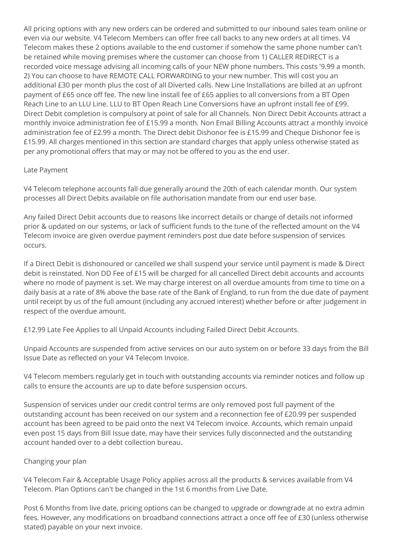All pricing options with any new orders can be ordered and submitted to our inbound sales team online or even via our website. V4 Telecom Members can offer free call backs to any new orders at all times. V4 Telecom makes these 2 options available to the end customer if somehow the same phone number can't be retained while moving premises where the customer can choose from 1) CALLER REDIRECT is a recorded voice message advising all incoming calls of your NEW phone numbers. This costs '9.99 a month. 2) You can choose to have REMOTE CALL FORWARDING to your new number. This will cost you an additional £30 per month plus the cost of all Diverted calls. New Line Installations are billed at an upfront payment of £65 once off fee. The new line install fee of £65 applies to all conversions from a BT Open Reach Line to an LLU Line. LLU to BT Open Reach Line Conversions have an upfront install fee of £99. Direct Debit completion is compulsory at point of sale for all Channels. Non Direct Debit Accounts attract a monthly invoice administration fee of £15.99 a month. Non Email Billing Accounts attract a monthly invoice administration fee of £2.99 a month. The Direct debit Dishonor fee is £15.99 and Cheque Dishonor fee is £15.99. All charges mentioned in this section are standard charges that apply unless otherwise stated as per any promotional offers that may or may not be offered to you as the end user.

## Late Payment

V4 Telecom telephone accounts fall due generally around the 20th of each calendar month. Our system processes all Direct Debits available on file authorisation mandate from our end user base.

Any failed Direct Debit accounts due to reasons like incorrect details or change of details not informed prior & updated on our systems, or lack of sufficient funds to the tune of the reflected amount on the V4 Telecom invoice are given overdue payment reminders post due date before suspension of services occurs.

If a Direct Debit is dishonoured or cancelled we shall suspend your service until payment is made & Direct debit is reinstated. Non DD Fee of £15 will be charged for all cancelled Direct debit accounts and accounts where no mode of payment is set. We may charge interest on all overdue amounts from time to time on a daily basis at a rate of 8% above the base rate of the Bank of England, to run from the due date of payment until receipt by us of the full amount (including any accrued interest) whether before or after judgement in respect of the overdue amount.

£12.99 Late Fee Applies to all Unpaid Accounts including Failed Direct Debit Accounts.

Unpaid Accounts are suspended from active services on our auto system on or before 33 days from the Bill Issue Date as reflected on your V4 Telecom Invoice.

V4 Telecom members regularly get in touch with outstanding accounts via reminder notices and follow up calls to ensure the accounts are up to date before suspension occurs.

Suspension of services under our credit control terms are only removed post full payment of the outstanding account has been received on our system and a reconnection fee of £20.99 per suspended account has been agreed to be paid onto the next V4 Telecom invoice. Accounts, which remain unpaid even post 15 days from Bill Issue date, may have their services fully disconnected and the outstanding account handed over to a debt collection bureau.

## Changing your plan

V4 Telecom Fair & Acceptable Usage Policy applies across all the products & services available from V4 Telecom. Plan Options can't be changed in the 1st 6 months from Live Date.

Post 6 Months from live date, pricing options can be changed to upgrade or downgrade at no extra admin fees. However, any modifications on broadband connections attract a once off fee of £30 (unless otherwise stated) payable on your next invoice.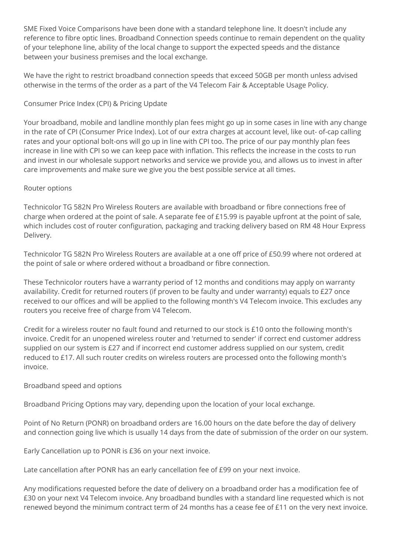SME Fixed Voice Comparisons have been done with a standard telephone line. It doesn't include any reference to fibre optic lines. Broadband Connection speeds continue to remain dependent on the quality of your telephone line, ability of the local change to support the expected speeds and the distance between your business premises and the local exchange.

We have the right to restrict broadband connection speeds that exceed 50GB per month unless advised otherwise in the terms of the order as a part of the V4 Telecom Fair & Acceptable Usage Policy.

## Consumer Price Index (CPI) & Pricing Update

Your broadband, mobile and landline monthly plan fees might go up in some cases in line with any change in the rate of CPI (Consumer Price Index). Lot of our extra charges at account level, like out- of-cap calling rates and your optional bolt-ons will go up in line with CPI too. The price of our pay monthly plan fees increase in line with CPI so we can keep pace with inflation. This reflects the increase in the costs to run and invest in our wholesale support networks and service we provide you, and allows us to invest in after care improvements and make sure we give you the best possible service at all times.

## Router options

Technicolor TG 582N Pro Wireless Routers are available with broadband or fibre connections free of charge when ordered at the point of sale. A separate fee of £15.99 is payable upfront at the point of sale, which includes cost of router configuration, packaging and tracking delivery based on RM 48 Hour Express Delivery.

Technicolor TG 582N Pro Wireless Routers are available at a one off price of £50.99 where not ordered at the point of sale or where ordered without a broadband or fibre connection.

These Technicolor routers have a warranty period of 12 months and conditions may apply on warranty availability. Credit for returned routers (if proven to be faulty and under warranty) equals to £27 once received to our offices and will be applied to the following month's V4 Telecom invoice. This excludes any routers you receive free of charge from V4 Telecom.

Credit for a wireless router no fault found and returned to our stock is £10 onto the following month's invoice. Credit for an unopened wireless router and 'returned to sender' if correct end customer address supplied on our system is £27 and if incorrect end customer address supplied on our system, credit reduced to £17. All such router credits on wireless routers are processed onto the following month's invoice.

## Broadband speed and options

Broadband Pricing Options may vary, depending upon the location of your local exchange.

Point of No Return (PONR) on broadband orders are 16.00 hours on the date before the day of delivery and connection going live which is usually 14 days from the date of submission of the order on our system.

Early Cancellation up to PONR is £36 on your next invoice.

Late cancellation after PONR has an early cancellation fee of £99 on your next invoice.

Any modifications requested before the date of delivery on a broadband order has a modification fee of £30 on your next V4 Telecom invoice. Any broadband bundles with a standard line requested which is not renewed beyond the minimum contract term of 24 months has a cease fee of £11 on the very next invoice.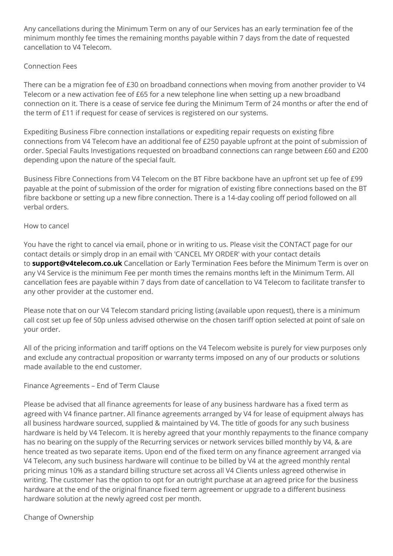Any cancellations during the Minimum Term on any of our Services has an early termination fee of the minimum monthly fee times the remaining months payable within 7 days from the date of requested cancellation to V4 Telecom.

## Connection Fees

There can be a migration fee of £30 on broadband connections when moving from another provider to V4 Telecom or a new activation fee of £65 for a new telephone line when setting up a new broadband connection on it. There is a cease of service fee during the Minimum Term of 24 months or after the end of the term of £11 if request for cease of services is registered on our systems.

Expediting Business Fibre connection installations or expediting repair requests on existing fibre connections from V4 Telecom have an additional fee of £250 payable upfront at the point of submission of order. Special Faults Investigations requested on broadband connections can range between £60 and £200 depending upon the nature of the special fault.

Business Fibre Connections from V4 Telecom on the BT Fibre backbone have an upfront set up fee of £99 payable at the point of submission of the order for migration of existing fibre connections based on the BT fibre backbone or setting up a new fibre connection. There is a 14-day cooling off period followed on all verbal orders.

## How to cancel

You have the right to cancel via email, phone or in writing to us. Please visit the CONTACT page for our contact details or simply drop in an email with 'CANCEL MY ORDER' with your contact details to **[support@v4telecom.co.uk](mailto:support@v4telecom.co.uk)** Cancellation or Early Termination Fees before the Minimum Term is over on any V4 Service is the minimum Fee per month times the remains months left in the Minimum Term. All cancellation fees are payable within 7 days from date of cancellation to V4 Telecom to facilitate transfer to any other provider at the customer end.

Please note that on our V4 Telecom standard pricing listing (available upon request), there is a minimum call cost set up fee of 50p unless advised otherwise on the chosen tariff option selected at point of sale on your order.

All of the pricing information and tariff options on the V4 Telecom website is purely for view purposes only and exclude any contractual proposition or warranty terms imposed on any of our products or solutions made available to the end customer.

## Finance Agreements – End of Term Clause

Please be advised that all finance agreements for lease of any business hardware has a fixed term as agreed with V4 finance partner. All finance agreements arranged by V4 for lease of equipment always has all business hardware sourced, supplied & maintained by V4. The title of goods for any such business hardware is held by V4 Telecom. It is hereby agreed that your monthly repayments to the finance company has no bearing on the supply of the Recurring services or network services billed monthly by V4, & are hence treated as two separate items. Upon end of the fixed term on any finance agreement arranged via V4 Telecom, any such business hardware will continue to be billed by V4 at the agreed monthly rental pricing minus 10% as a standard billing structure set across all V4 Clients unless agreed otherwise in writing. The customer has the option to opt for an outright purchase at an agreed price for the business hardware at the end of the original finance fixed term agreement or upgrade to a different business hardware solution at the newly agreed cost per month.

Change of Ownership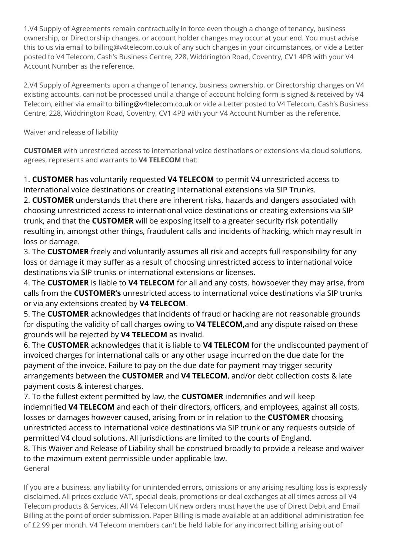1.V4 Supply of Agreements remain contractually in force even though a change of tenancy, business ownership, or Directorship changes, or account holder changes may occur at your end. You must advise this to us via email to billing@v4telecom.co.uk of any such changes in your circumstances, or vide a Letter posted to V4 Telecom, Cash's Business Centre, 228, Widdrington Road, Coventry, CV1 4PB with your V4 Account Number as the reference.

2.V4 Supply of Agreements upon a change of tenancy, business ownership, or Directorship changes on V4 existing accounts, can not be processed until a change of account holding form is signed & received by V4 Telecom, either via email to [billing@v4telecom.co.uk](mailto:billing@v4telecom.co.uk) or vide a Letter posted to V4 Telecom, Cash's Business Centre, 228, Widdrington Road, Coventry, CV1 4PB with your V4 Account Number as the reference.

Waiver and release of liability

**CUSTOMER** with unrestricted access to international voice destinations or extensions via cloud solutions, agrees, represents and warrants to **V4 TELECOM** that:

1. **CUSTOMER** has voluntarily requested **V4 TELECOM** to permit V4 unrestricted access to international voice destinations or creating international extensions via SIP Trunks.

2. **CUSTOMER** understands that there are inherent risks, hazards and dangers associated with choosing unrestricted access to international voice destinations or creating extensions via SIP trunk, and that the **CUSTOMER** will be exposing itself to a greater security risk potentially resulting in, amongst other things, fraudulent calls and incidents of hacking, which may result in loss or damage.

3. The **CUSTOMER** freely and voluntarily assumes all risk and accepts full responsibility for any loss or damage it may suffer as a result of choosing unrestricted access to international voice destinations via SIP trunks or international extensions or licenses.

4. The **CUSTOMER** is liable to **V4 TELECOM** for all and any costs, howsoever they may arise, from calls from the **CUSTOMER's** unrestricted access to international voice destinations via SIP trunks or via any extensions created by **V4 TELECOM**.

5. The **CUSTOMER** acknowledges that incidents of fraud or hacking are not reasonable grounds for disputing the validity of call charges owing to **V4 TELECOM,**and any dispute raised on these grounds will be rejected by **V4 TELECOM** as invalid.

6. The **CUSTOMER** acknowledges that it is liable to **V4 TELECOM** for the undiscounted payment of invoiced charges for international calls or any other usage incurred on the due date for the payment of the invoice. Failure to pay on the due date for payment may trigger security arrangements between the **CUSTOMER** and **V4 TELECOM**, and/or debt collection costs & late payment costs & interest charges.

7. To the fullest extent permitted by law, the **CUSTOMER** indemnifies and will keep indemnified **V4 TELECOM** and each of their directors, officers, and employees, against all costs, losses or damages however caused, arising from or in relation to the **CUSTOMER** choosing unrestricted access to international voice destinations via SIP trunk or any requests outside of permitted V4 cloud solutions. All jurisdictions are limited to the courts of England.

8. This Waiver and Release of Liability shall be construed broadly to provide a release and waiver to the maximum extent permissible under applicable law. General

If you are a business. any liability for unintended errors, omissions or any arising resulting loss is expressly disclaimed. All prices exclude VAT, special deals, promotions or deal exchanges at all times across all V4 Telecom products & Services. All V4 Telecom UK new orders must have the use of Direct Debit and Email Billing at the point of order submission. Paper Billing is made available at an additional administration fee of £2.99 per month. V4 Telecom members can't be held liable for any incorrect billing arising out of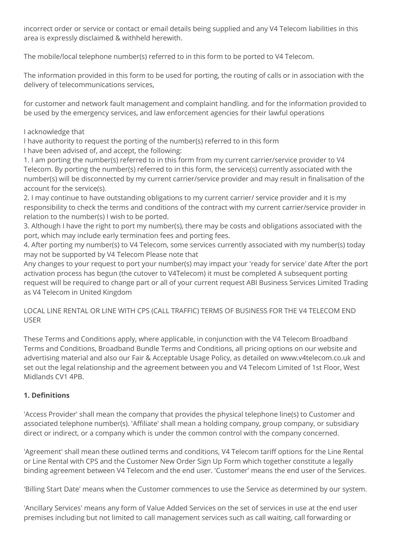incorrect order or service or contact or email details being supplied and any V4 Telecom liabilities in this area is expressly disclaimed & withheld herewith.

The mobile/local telephone number(s) referred to in this form to be ported to V4 Telecom.

The information provided in this form to be used for porting, the routing of calls or in association with the delivery of telecommunications services,

for customer and network fault management and complaint handling. and for the information provided to be used by the emergency services, and law enforcement agencies for their lawful operations

I acknowledge that

I have authority to request the porting of the number(s) referred to in this form I have been advised of, and accept, the following:

1. I am porting the number(s) referred to in this form from my current carrier/service provider to V4 Telecom. By porting the number(s) referred to in this form, the service(s) currently associated with the number(s) will be disconnected by my current carrier/service provider and may result in finalisation of the account for the service(s).

2. I may continue to have outstanding obligations to my current carrier/ service provider and it is my responsibility to check the terms and conditions of the contract with my current carrier/service provider in relation to the number(s) I wish to be ported.

3. Although I have the right to port my number(s), there may be costs and obligations associated with the port, which may include early termination fees and porting fees.

4. After porting my number(s) to V4 Telecom, some services currently associated with my number(s) today may not be supported by V4 Telecom Please note that

Any changes to your request to port your number(s) may impact your 'ready for service' date After the port activation process has begun (the cutover to V4Telecom) it must be completed A subsequent porting request will be required to change part or all of your current request ABI Business Services Limited Trading as V4 Telecom in United Kingdom

## LOCAL LINE RENTAL OR LINE WITH CPS (CALL TRAFFIC) TERMS OF BUSINESS FOR THE V4 TELECOM END USER

These Terms and Conditions apply, where applicable, in conjunction with the V4 Telecom Broadband Terms and Conditions, Broadband Bundle Terms and Conditions, all pricing options on our website and advertising material and also our Fair & Acceptable Usage Policy, as detailed on www.v4telecom.co.uk and set out the legal relationship and the agreement between you and V4 Telecom Limited of 1st Floor, West Midlands CV1 4PB.

# **1. Definitions**

'Access Provider' shall mean the company that provides the physical telephone line(s) to Customer and associated telephone number(s). 'Affiliate' shall mean a holding company, group company, or subsidiary direct or indirect, or a company which is under the common control with the company concerned.

'Agreement' shall mean these outlined terms and conditions, V4 Telecom tariff options for the Line Rental or Line Rental with CPS and the Customer New Order Sign Up Form which together constitute a legally binding agreement between V4 Telecom and the end user. 'Customer' means the end user of the Services.

'Billing Start Date' means when the Customer commences to use the Service as determined by our system.

'Ancillary Services' means any form of Value Added Services on the set of services in use at the end user premises including but not limited to call management services such as call waiting, call forwarding or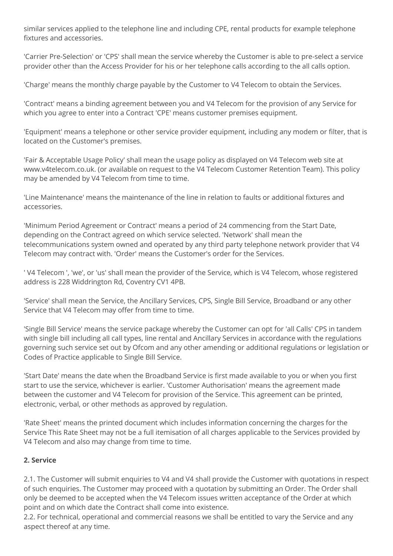similar services applied to the telephone line and including CPE, rental products for example telephone fixtures and accessories.

'Carrier Pre-Selection' or 'CPS' shall mean the service whereby the Customer is able to pre-select a service provider other than the Access Provider for his or her telephone calls according to the all calls option.

'Charge' means the monthly charge payable by the Customer to V4 Telecom to obtain the Services.

'Contract' means a binding agreement between you and V4 Telecom for the provision of any Service for which you agree to enter into a Contract 'CPE' means customer premises equipment.

'Equipment' means a telephone or other service provider equipment, including any modem or filter, that is located on the Customer's premises.

'Fair & Acceptable Usage Policy' shall mean the usage policy as displayed on V4 Telecom web site at www.v4telecom.co.uk. (or available on request to the V4 Telecom Customer Retention Team). This policy may be amended by V4 Telecom from time to time.

'Line Maintenance' means the maintenance of the line in relation to faults or additional fixtures and accessories.

'Minimum Period Agreement or Contract' means a period of 24 commencing from the Start Date, depending on the Contract agreed on which service selected. 'Network' shall mean the telecommunications system owned and operated by any third party telephone network provider that V4 Telecom may contract with. 'Order' means the Customer's order for the Services.

' V4 Telecom ', 'we', or 'us' shall mean the provider of the Service, which is V4 Telecom, whose registered address is 228 Widdrington Rd, Coventry CV1 4PB.

'Service' shall mean the Service, the Ancillary Services, CPS, Single Bill Service, Broadband or any other Service that V4 Telecom may offer from time to time.

'Single Bill Service' means the service package whereby the Customer can opt for 'all Calls' CPS in tandem with single bill including all call types, line rental and Ancillary Services in accordance with the regulations governing such service set out by Ofcom and any other amending or additional regulations or legislation or Codes of Practice applicable to Single Bill Service.

'Start Date' means the date when the Broadband Service is first made available to you or when you first start to use the service, whichever is earlier. 'Customer Authorisation' means the agreement made between the customer and V4 Telecom for provision of the Service. This agreement can be printed, electronic, verbal, or other methods as approved by regulation.

'Rate Sheet' means the printed document which includes information concerning the charges for the Service This Rate Sheet may not be a full itemisation of all charges applicable to the Services provided by V4 Telecom and also may change from time to time.

## **2. Service**

2.1. The Customer will submit enquiries to V4 and V4 shall provide the Customer with quotations in respect of such enquiries. The Customer may proceed with a quotation by submitting an Order. The Order shall only be deemed to be accepted when the V4 Telecom issues written acceptance of the Order at which point and on which date the Contract shall come into existence.

2.2. For technical, operational and commercial reasons we shall be entitled to vary the Service and any aspect thereof at any time.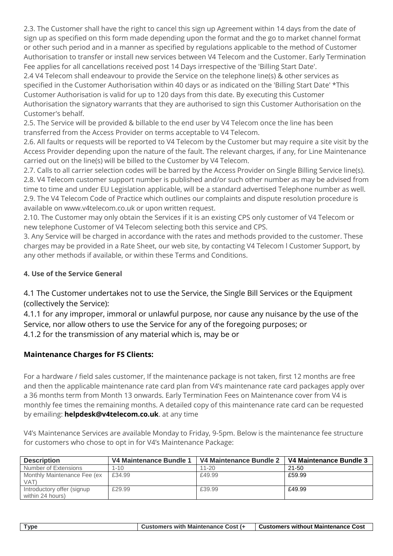2.3. The Customer shall have the right to cancel this sign up Agreement within 14 days from the date of sign up as specified on this form made depending upon the format and the go to market channel format or other such period and in a manner as specified by regulations applicable to the method of Customer Authorisation to transfer or install new services between V4 Telecom and the Customer. Early Termination Fee applies for all cancellations received post 14 Days irrespective of the 'Billing Start Date'.

2.4 V4 Telecom shall endeavour to provide the Service on the telephone line(s) & other services as specified in the Customer Authorisation within 40 days or as indicated on the 'Billing Start Date' \*This Customer Authorisation is valid for up to 120 days from this date. By executing this Customer Authorisation the signatory warrants that they are authorised to sign this Customer Authorisation on the Customer's behalf.

2.5. The Service will be provided & billable to the end user by V4 Telecom once the line has been transferred from the Access Provider on terms acceptable to V4 Telecom.

2.6. All faults or requests will be reported to V4 Telecom by the Customer but may require a site visit by the Access Provider depending upon the nature of the fault. The relevant charges, if any, for Line Maintenance carried out on the line(s) will be billed to the Customer by V4 Telecom.

2.7. Calls to all carrier selection codes will be barred by the Access Provider on Single Billing Service line(s). 2.8. V4 Telecom customer support number is published and/or such other number as may be advised from time to time and under EU Legislation applicable, will be a standard advertised Telephone number as well. 2.9. The V4 Telecom Code of Practice which outlines our complaints and dispute resolution procedure is available on www.v4telecom.co.uk or upon written request.

2.10. The Customer may only obtain the Services if it is an existing CPS only customer of V4 Telecom or new telephone Customer of V4 Telecom selecting both this service and CPS.

3. Any Service will be charged in accordance with the rates and methods provided to the customer. These charges may be provided in a Rate Sheet, our web site, by contacting V4 Telecom l Customer Support, by any other methods if available, or within these Terms and Conditions.

# **4. Use of the Service General**

4.1 The Customer undertakes not to use the Service, the Single Bill Services or the Equipment (collectively the Service):

4.1.1 for any improper, immoral or unlawful purpose, nor cause any nuisance by the use of the Service, nor allow others to use the Service for any of the foregoing purposes; or 4.1.2 for the transmission of any material which is, may be or

# **Maintenance Charges for FS Clients:**

For a hardware / field sales customer, If the maintenance package is not taken, first 12 months are free and then the applicable maintenance rate card plan from V4's maintenance rate card packages apply over a 36 months term from Month 13 onwards. Early Termination Fees on Maintenance cover from V4 is monthly fee times the remaining months. A detailed copy of this maintenance rate card can be requested by emailing: **[helpdesk@v4telecom.co.uk](mailto:helpdesk@v4telecom.co.uk)**. at any time

V4's Maintenance Services are available Monday to Friday, 9-5pm. Below is the maintenance fee structure for customers who chose to opt in for V4's Maintenance Package:

| <b>Description</b>                             | V4 Maintenance Bundle 1 | V4 Maintenance Bundle 2 | V4 Maintenance Bundle 3 |
|------------------------------------------------|-------------------------|-------------------------|-------------------------|
| Number of Extensions                           | $1 - 10$                | $11 - 20$               | $21 - 50$               |
| Monthly Maintenance Fee (ex<br>VAT)            | £34.99                  | £49.99                  | £59.99                  |
| Introductory offer (signup<br>within 24 hours) | £29.99                  | £39.99                  | £49.99                  |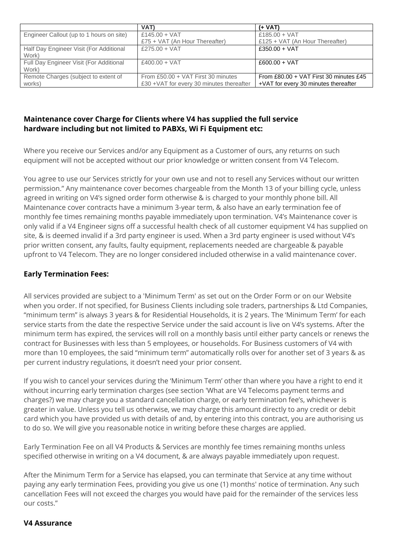|                                          | VAT)                                      | $(+ VAT)$                              |
|------------------------------------------|-------------------------------------------|----------------------------------------|
| Engineer Callout (up to 1 hours on site) | £145.00 + VAT                             | £185.00 + VAT                          |
|                                          | £75 + VAT (An Hour Thereafter)            | £125 + VAT (An Hour Thereafter)        |
| Half Day Engineer Visit (For Additional  | £275.00 + $VAT$                           | £350.00 + VAT                          |
| Work)                                    |                                           |                                        |
| Full Day Engineer Visit (For Additional  | £400.00 + $VAT$                           | $£600.00 + VAT$                        |
| Work)                                    |                                           |                                        |
| Remote Charges (subject to extent of     | From £50.00 + VAT First 30 minutes        | From £80.00 + VAT First 30 minutes £45 |
| works)                                   | £30 + VAT for every 30 minutes thereafter | +VAT for every 30 minutes thereafter   |

## **Maintenance cover Charge for Clients where V4 has supplied the full service hardware including but not limited to PABXs, Wi Fi Equipment etc:**

Where you receive our Services and/or any Equipment as a Customer of ours, any returns on such equipment will not be accepted without our prior knowledge or written consent from V4 Telecom.

You agree to use our Services strictly for your own use and not to resell any Services without our written permission." Any maintenance cover becomes chargeable from the Month 13 of your billing cycle, unless agreed in writing on V4's signed order form otherwise & is charged to your monthly phone bill. All Maintenance cover contracts have a minimum 3-year term, & also have an early termination fee of monthly fee times remaining months payable immediately upon termination. V4's Maintenance cover is only valid if a V4 Engineer signs off a successful health check of all customer equipment V4 has supplied on site, & is deemed invalid if a 3rd party engineer is used. When a 3rd party engineer is used without V4's prior written consent, any faults, faulty equipment, replacements needed are chargeable & payable upfront to V4 Telecom. They are no longer considered included otherwise in a valid maintenance cover.

## **Early Termination Fees:**

All services provided are subject to a 'Minimum Term' as set out on the Order Form or on our Website when you order. If not specified, for Business Clients including sole traders, partnerships & Ltd Companies, "minimum term" is always 3 years & for Residential Households, it is 2 years. The 'Minimum Term' for each service starts from the date the respective Service under the said account is live on V4's systems. After the minimum term has expired, the services will roll on a monthly basis until either party cancels or renews the contract for Businesses with less than 5 employees, or households. For Business customers of V4 with more than 10 employees, the said "minimum term" automatically rolls over for another set of 3 years & as per current industry regulations, it doesn't need your prior consent.

If you wish to cancel your services during the 'Minimum Term' other than where you have a right to end it without incurring early termination charges (see section 'What are V4 Telecoms payment terms and charges?) we may charge you a standard cancellation charge, or early termination fee's, whichever is greater in value. Unless you tell us otherwise, we may charge this amount directly to any credit or debit card which you have provided us with details of and, by entering into this contract, you are authorising us to do so. We will give you reasonable notice in writing before these charges are applied.

Early Termination Fee on all V4 Products & Services are monthly fee times remaining months unless specified otherwise in writing on a V4 document, & are always payable immediately upon request.

After the Minimum Term for a Service has elapsed, you can terminate that Service at any time without paying any early termination Fees, providing you give us one (1) months' notice of termination. Any such cancellation Fees will not exceed the charges you would have paid for the remainder of the services less our costs."

#### **V4 Assurance**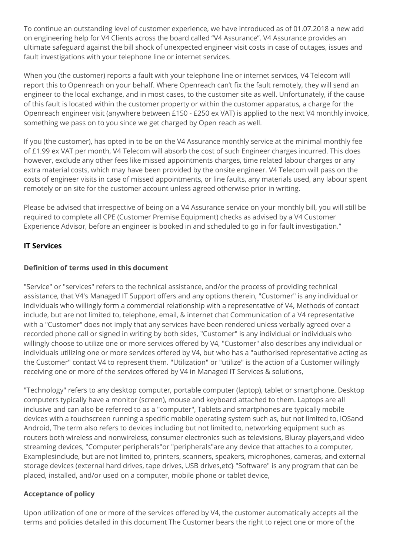To continue an outstanding level of customer experience, we have introduced as of 01.07.2018 a new add on engineering help for V4 Clients across the board called "V4 Assurance". V4 Assurance provides an ultimate safeguard against the bill shock of unexpected engineer visit costs in case of outages, issues and fault investigations with your telephone line or internet services.

When you (the customer) reports a fault with your telephone line or internet services, V4 Telecom will report this to Openreach on your behalf. Where Openreach can't fix the fault remotely, they will send an engineer to the local exchange, and in most cases, to the customer site as well. Unfortunately, if the cause of this fault is located within the customer property or within the customer apparatus, a charge for the Openreach engineer visit (anywhere between £150 - £250 ex VAT) is applied to the next V4 monthly invoice, something we pass on to you since we get charged by Open reach as well.

If you (the customer), has opted in to be on the V4 Assurance monthly service at the minimal monthly fee of £1.99 ex VAT per month, V4 Telecom will absorb the cost of such Engineer charges incurred. This does however, exclude any other fees like missed appointments charges, time related labour charges or any extra material costs, which may have been provided by the onsite engineer. V4 Telecom will pass on the costs of engineer visits in case of missed appointments, or line faults, any materials used, any labour spent remotely or on site for the customer account unless agreed otherwise prior in writing.

Please be advised that irrespective of being on a V4 Assurance service on your monthly bill, you will still be required to complete all CPE (Customer Premise Equipment) checks as advised by a V4 Customer Experience Advisor, before an engineer is booked in and scheduled to go in for fault investigation."

## **IT Services**

## **Definition of terms used in this document**

"Service" or "services" refers to the technical assistance, and/or the process of providing technical assistance, that V4's Managed IT Support offers and any options therein, "Customer" is any individual or individuals who willingly form a commercial relationship with a representative of V4, Methods of contact include, but are not limited to, telephone, email, & internet chat Communication of a V4 representative with a "Customer" does not imply that any services have been rendered unless verbally agreed over a recorded phone call or signed in writing by both sides, "Customer" is any individual or individuals who willingly choose to utilize one or more services offered by V4, "Customer" also describes any individual or individuals utilizing one or more services offered by V4, but who has a "authorised representative acting as the Customer" contact V4 to represent them. "Utilization" or "utilize" is the action of a Customer willingly receiving one or more of the services offered by V4 in Managed IT Services & solutions,

"Technology" refers to any desktop computer, portable computer (laptop), tablet or srnartphone. Desktop computers typically have a monitor (screen), mouse and keyboard attached to them. Laptops are all inclusive and can also be referred to as a "computer", Tablets and smartphones are typically mobile devices with a touchscreen running a specific mobile operating system such as, but not limited to, iOSand Android, The term also refers to devices including but not limited to, networking equipment such as routers both wireless and nonwireless, consumer electronics such as televisions, Bluray players,and video streaming devices, "Computer peripherals"or "peripherals"are any device that attaches to a computer, Examplesinclude, but are not limited to, printers, scanners, speakers, microphones, cameras, and external storage devices (external hard drives, tape drives, USB drives,etc} "Software" is any program that can be placed, installed, and/or used on a computer, mobile phone or tablet device,

## **Acceptance of policy**

Upon utilization of one or more of the services offered by V4, the customer automatically accepts all the terms and policies detailed in this document The Customer bears the right to reject one or more of the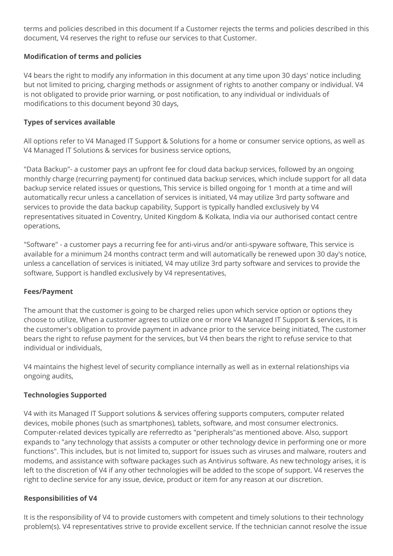terms and policies described in this document If a Customer rejects the terms and policies described in this document, V4 reserves the right to refuse our services to that Customer.

## **Modification of terms and policies**

V4 bears the right to modify any information in this document at any time upon 30 days' notice including but not limited to pricing, charging methods or assignment of rights to another company or individual. V4 is not obligated to provide prior warning, or post notification, to any individual or individuals of modifications to this document beyond 30 days,

## **Types of services available**

All options refer to V4 Managed IT Support & Solutions for a home or consumer service options, as well as V4 Managed IT Solutions & services for business service options,

"Data Backup"- a customer pays an upfront fee for cloud data backup services, followed by an ongoing monthly charge (recurring payment) for continued data backup services, which include support for all data backup service related issues or questions, This service is billed ongoing for 1 month at a time and will automatically recur unless a cancellation of services is initiated, V4 may utilize 3rd party software and services to provide the data backup capability, Support is typically handled exclusively by V4 representatives situated in Coventry, United Kingdom & Kolkata, India via our authorised contact centre operations,

"Software" - a customer pays a recurring fee for anti-virus and/or anti-spyware software, This service is available for a minimum 24 months contract term and will automatically be renewed upon 30 day's notice, unless a cancellation of services is initiated, V4 may utilize 3rd party software and services to provide the software, Support is handled exclusively by V4 representatives,

## **Fees/Payment**

The amount that the customer is going to be charged relies upon which service option or options they choose to utilize, When a customer agrees to utilize one or more V4 Managed IT Support & services, it is the customer's obligation to provide payment in advance prior to the service being initiated, The customer bears the right to refuse payment for the services, but V4 then bears the right to refuse service to that individual or individuals,

V4 maintains the highest level of security compliance internally as well as in external relationships via ongoing audits,

## **Technologies Supported**

V4 with its Managed IT Support solutions & services offering supports computers, computer related devices, mobile phones (such as smartphones), tablets, software, and most consumer electronics. Computer-related devices typically are referredto as "peripherals"as mentioned above. Also, support expands to "any technology that assists a computer or other technology device in performing one or more functions". This includes, but is not limited to, support for issues such as viruses and malware, routers and modems, and assistance with software packages such as Antivirus software. As new technology arises, it is left to the discretion of V4 if any other technologies will be added to the scope of support. V4 reserves the right to decline service for any issue, device, product or item for any reason at our discretion.

## **Responsibilities of V4**

It is the responsibility of V4 to provide customers with competent and timely solutions to their technology problem(s). V4 representatives strive to provide excellent service. If the technician cannot resolve the issue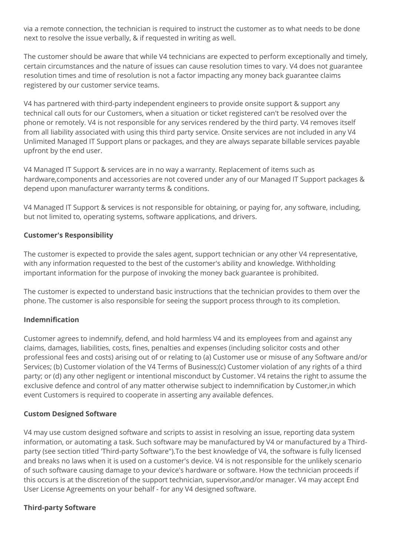via a remote connection, the technician is required to instruct the customer as to what needs to be done next to resolve the issue verbally, & if requested in writing as well.

The customer should be aware that while V4 technicians are expected to perform exceptionally and timely, certain circumstances and the nature of issues can cause resolution times to vary. V4 does not guarantee resolution times and time of resolution is not a factor impacting any money back guarantee claims registered by our customer service teams.

V4 has partnered with third-party independent engineers to provide onsite support & support any technical call outs for our Customers, when a situation or ticket registered can't be resolved over the phone or remotely. V4 is not responsible for any services rendered by the third party. V4 removes itself from all liability associated with using this third party service. Onsite services are not included in any V4 Unlimited Managed IT Support plans or packages, and they are always separate billable services payable upfront by the end user.

V4 Managed IT Support & services are in no way a warranty. Replacement of items such as hardware,components and accessories are not covered under any of our Managed IT Support packages & depend upon manufacturer warranty terms & conditions.

V4 Managed IT Support & services is not responsible for obtaining, or paying for, any software, including, but not limited to, operating systems, software applications, and drivers.

#### **Customer's Responsibility**

The customer is expected to provide the sales agent, support technician or any other V4 representative, with any information requested to the best of the customer's ability and knowledge. Withholding important information for the purpose of invoking the money back guarantee is prohibited.

The customer is expected to understand basic instructions that the technician provides to them over the phone. The customer is also responsible for seeing the support process through to its completion.

## **Indemnification**

Customer agrees to indemnify, defend, and hold harmless V4 and its employees from and against any claims, damages, liabilities, costs, fines, penalties and expenses (including solicitor costs and other professional fees and costs) arising out of or relating to (a) Customer use or misuse of any Software and/or Services; (b) Customer violation of the V4 Terms of Business;(c) Customer violation of any rights of a third party; or (d) any other negligent or intentional misconduct by Customer. V4 retains the right to assume the exclusive defence and control of any matter otherwise subject to indemnification by Customer,in which event Customers is required to cooperate in asserting any available defences.

#### **Custom Designed Software**

V4 may use custom designed software and scripts to assist in resolving an issue, reporting data system information, or automating a task. Such software may be manufactured by V4 or manufactured by a Thirdparty (see section titled 'Third-party Software").To the best knowledge of V4, the software is fully licensed and breaks no laws when it is used on a customer's device. V4 is not responsible for the unlikely scenario of such software causing damage to your device's hardware or software. How the technician proceeds if this occurs is at the discretion of the support technician, supervisor,and/or manager. V4 may accept End User License Agreements on your behalf - for any V4 designed software.

#### **Third-party Software**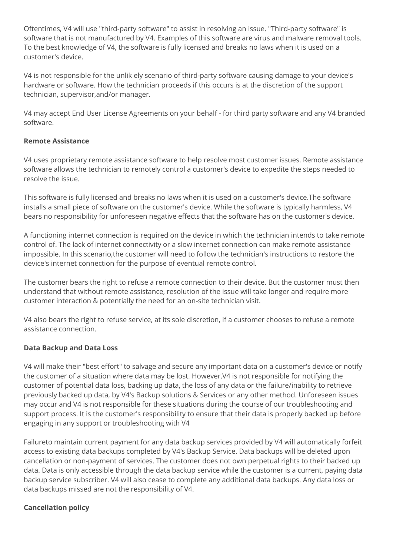Oftentimes, V4 will use "third-party software" to assist in resolving an issue. "Third-party software" is software that is not manufactured by V4. Examples of this software are virus and malware removal tools. To the best knowledge of V4, the software is fully licensed and breaks no laws when it is used on a customer's device.

V4 is not responsible for the unlik ely scenario of third-party software causing damage to your device's hardware or software. How the technician proceeds if this occurs is at the discretion of the support technician, supervisor,and/or manager.

V4 may accept End User License Agreements on your behalf - for third party software and any V4 branded software.

## **Remote Assistance**

V4 uses proprietary remote assistance software to help resolve most customer issues. Remote assistance software allows the technician to remotely control a customer's device to expedite the steps needed to resolve the issue.

This software is fully licensed and breaks no laws when it is used on a customer's device.The software installs a small piece of software on the customer's device. While the software is typically harmless, V4 bears no responsibility for unforeseen negative effects that the software has on the customer's device.

A functioning internet connection is required on the device in which the technician intends to take remote control of. The lack of internet connectivity or a slow internet connection can make remote assistance impossible. In this scenario,the customer will need to follow the technician's instructions to restore the device's internet connection for the purpose of eventual remote control.

The customer bears the right to refuse a remote connection to their device. But the customer must then understand that without remote assistance, resolution of the issue will take longer and require more customer interaction & potentially the need for an on-site technician visit.

V4 also bears the right to refuse service, at its sole discretion, if a customer chooses to refuse a remote assistance connection.

## **Data Backup and Data Loss**

V4 will make their "best effort" to salvage and secure any important data on a customer's device or notify the customer of a situation where data may be lost. However,V4 is not responsible for notifying the customer of potential data loss, backing up data, the loss of any data or the failure/inability to retrieve previously backed up data, by V4's Backup solutions & Services or any other method. Unforeseen issues may occur and V4 is not responsible for these situations during the course of our troubleshooting and support process. It is the customer's responsibility to ensure that their data is properly backed up before engaging in any support or troubleshooting with V4

Failureto maintain current payment for any data backup services provided by V4 will automatically forfeit access to existing data backups completed by V4's Backup Service. Data backups will be deleted upon cancellation or non-payment of services. The customer does not own perpetual rights to their backed up data. Data is only accessible through the data backup service while the customer is a current, paying data backup service subscriber. V4 will also cease to complete any additional data backups. Any data loss or data backups missed are not the responsibility of V4.

## **Cancellation policy**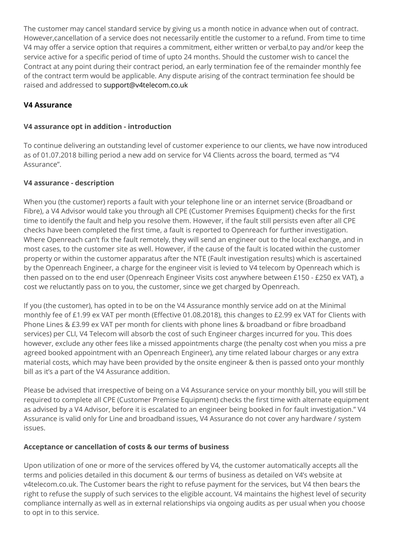The customer may cancel standard service by giving us a month notice in advance when out of contract. However,cancellation of a service does not necessarily entitle the customer to a refund. From time to time V4 may offer a service option that requires a commitment, either written or verbal,to pay and/or keep the service active for a specific period of time of upto 24 months. Should the customer wish to cancel the Contract at any point during their contract period, an early termination fee of the remainder monthly fee of the contract term would be applicable. Any dispute arising of the contract termination fee should be raised and addressed to [support@v4telecom.co.uk](mailto:support@v4telecom.co.uk)

## **V4 Assurance**

## **V4 assurance opt in addition - introduction**

To continue delivering an outstanding level of customer experience to our clients, we have now introduced as of 01.07.2018 billing period a new add on service for V4 Clients across the board, termed as "V4 Assurance".

## **V4 assurance - description**

When you (the customer) reports a fault with your telephone line or an internet service (Broadband or Fibre), a V4 Advisor would take you through all CPE (Customer Premises Equipment) checks for the first time to identify the fault and help you resolve them. However, if the fault still persists even after all CPE checks have been completed the first time, a fault is reported to Openreach for further investigation. Where Openreach can't fix the fault remotely, they will send an engineer out to the local exchange, and in most cases, to the customer site as well. However, if the cause of the fault is located within the customer property or within the customer apparatus after the NTE (Fault investigation results) which is ascertained by the Openreach Engineer, a charge for the engineer visit is levied to V4 telecom by Openreach which is then passed on to the end user (Openreach Engineer Visits cost anywhere between £150 - £250 ex VAT), a cost we reluctantly pass on to you, the customer, since we get charged by Openreach.

If you (the customer), has opted in to be on the V4 Assurance monthly service add on at the Minimal monthly fee of £1.99 ex VAT per month (Effective 01.08.2018), this changes to £2.99 ex VAT for Clients with Phone Lines & £3.99 ex VAT per month for clients with phone lines & broadband or fibre broadband services) per CLI, V4 Telecom will absorb the cost of such Engineer charges incurred for you. This does however, exclude any other fees like a missed appointments charge (the penalty cost when you miss a pre agreed booked appointment with an Openreach Engineer), any time related labour charges or any extra material costs, which may have been provided by the onsite engineer & then is passed onto your monthly bill as it's a part of the V4 Assurance addition.

Please be advised that irrespective of being on a V4 Assurance service on your monthly bill, you will still be required to complete all CPE (Customer Premise Equipment) checks the first time with alternate equipment as advised by a V4 Advisor, before it is escalated to an engineer being booked in for fault investigation." V4 Assurance is valid only for Line and broadband issues, V4 Assurance do not cover any hardware / system issues.

## **Acceptance or cancellation of costs & our terms of business**

Upon utilization of one or more of the services offered by V4, the customer automatically accepts all the terms and policies detailed in this document & our terms of business as detailed on V4's website at v4telecom.co.uk. The Customer bears the right to refuse payment for the services, but V4 then bears the right to refuse the supply of such services to the eligible account. V4 maintains the highest level of security compliance internally as well as in external relationships via ongoing audits as per usual when you choose to opt in to this service.